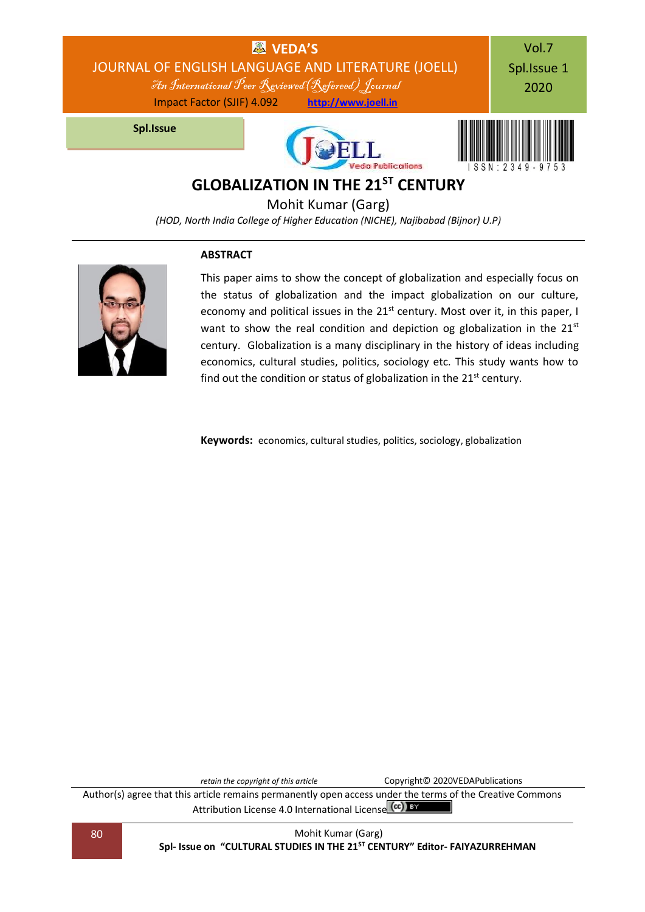

Mohit Kumar (Garg)

*(HOD, North India College of Higher Education (NICHE), Najibabad (Bijnor) U.P)*

### **ABSTRACT**



This paper aims to show the concept of globalization and especially focus on the status of globalization and the impact globalization on our culture, economy and political issues in the  $21<sup>st</sup>$  century. Most over it, in this paper, I want to show the real condition and depiction og globalization in the 21<sup>st</sup> century. Globalization is a many disciplinary in the history of ideas including economics, cultural studies, politics, sociology etc. This study wants how to find out the condition or status of globalization in the  $21<sup>st</sup>$  century.

**Keywords:** economics, cultural studies, politics, sociology, globalization

*retain the copyright of this article* Copyright© 2020VEDAPublications Author(s) agree that this article remains permanently open access under the terms of the Creative Commons Attribution Lic[e](http://creativecommons.org/licenses/by/4.0/)nse 4.0 International License (CC) BY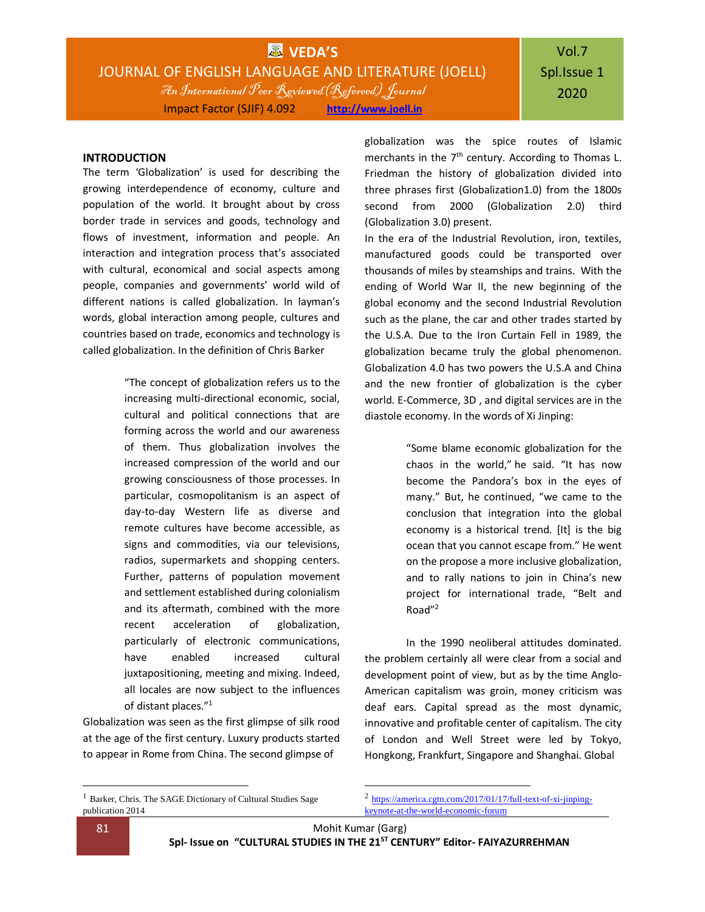**WVEDA'S** JOURNAL OF ENGLISH LANGUAGE AND LITERATURE (JOELL) An International Peer Reviewed(Refereed) Journal Impact Factor (SJIF) 4.092 **[http://www.joell.in](http://www.joell.in/)**

### **INTRODUCTION**

The term 'Globalization' is used for describing the growing interdependence of economy, culture and population of the world. It brought about by cross border trade in services and goods, technology and flows of investment, information and people. An interaction and integration process that's associated with cultural, economical and social aspects among people, companies and governments' world wild of different nations is called globalization. In layman's words, global interaction among people, cultures and countries based on trade, economics and technology is called globalization. In the definition of Chris Barker

> "The concept of globalization refers us to the increasing multi-directional economic, social, cultural and political connections that are forming across the world and our awareness of them. Thus globalization involves the increased compression of the world and our growing consciousness of those processes. In particular, cosmopolitanism is an aspect of day-to-day Western life as diverse and remote cultures have become accessible, as signs and commodities, via our televisions, radios, supermarkets and shopping centers. Further, patterns of population movement and settlement established during colonialism and its aftermath, combined with the more recent acceleration of globalization, particularly of electronic communications, have enabled increased cultural juxtapositioning, meeting and mixing. Indeed, all locales are now subject to the influences of distant places."<sup>1</sup>

Globalization was seen as the first glimpse of silk rood at the age of the first century. Luxury products started to appear in Rome from China. The second glimpse of

globalization was the spice routes of Islamic merchants in the 7<sup>th</sup> century. According to Thomas L. Friedman the history of globalization divided into three phrases first (Globalization1.0) from the 1800s second from 2000 (Globalization 2.0) third (Globalization 3.0) present.

In the era of the Industrial Revolution, iron, textiles, manufactured goods could be transported over thousands of miles by steamships and trains. With the ending of World War II, the new beginning of the global economy and the second Industrial Revolution such as the plane, the car and other trades started by the U.S.A. Due to the Iron Curtain Fell in 1989, the globalization became truly the global phenomenon. Globalization 4.0 has two powers the U.S.A and China and the new frontier of globalization is the cyber world. E-Commerce, 3D , and digital services are in the diastole economy. In the words of Xi Jinping:

> "Some blame economic globalization for the chaos in the world," he said. "It has now become the Pandora's box in the eyes of many." But, he continued, "we came to the conclusion that integration into the global economy is a historical trend. [It] is the big ocean that you cannot escape from." He went on the propose a more inclusive globalization, and to rally nations to join in China's new project for international trade, "Belt and Road"<sup>2</sup>

In the 1990 neoliberal attitudes dominated. the problem certainly all were clear from a social and development point of view, but as by the time Anglo-American capitalism was groin, money criticism was deaf ears. Capital spread as the most dynamic, innovative and profitable center of capitalism. The city of London and Well Street were led by Tokyo, Hongkong, Frankfurt, Singapore and Shanghai. Global

<sup>1</sup> [Barker,](https://uk.sagepub.com/en-gb/eur/author/chris-barker) Chris. [The SAGE Dictionary of Cultural Studies](https://uk.sagepub.com/en-gb/eur/the-sage-dictionary-of-cultural-studies/book219252) Sage publication 2014

 $\overline{\phantom{a}}$ 

 $\overline{\phantom{a}}$ 

<sup>&</sup>lt;sup>2</sup> [https://america.cgtn.com/2017/01/17/full-text-of-xi-jinping](https://america.cgtn.com/2017/01/17/full-text-of-xi-jinping-keynote-at-the-world-economic-forum)[keynote-at-the-world-economic-forum](https://america.cgtn.com/2017/01/17/full-text-of-xi-jinping-keynote-at-the-world-economic-forum)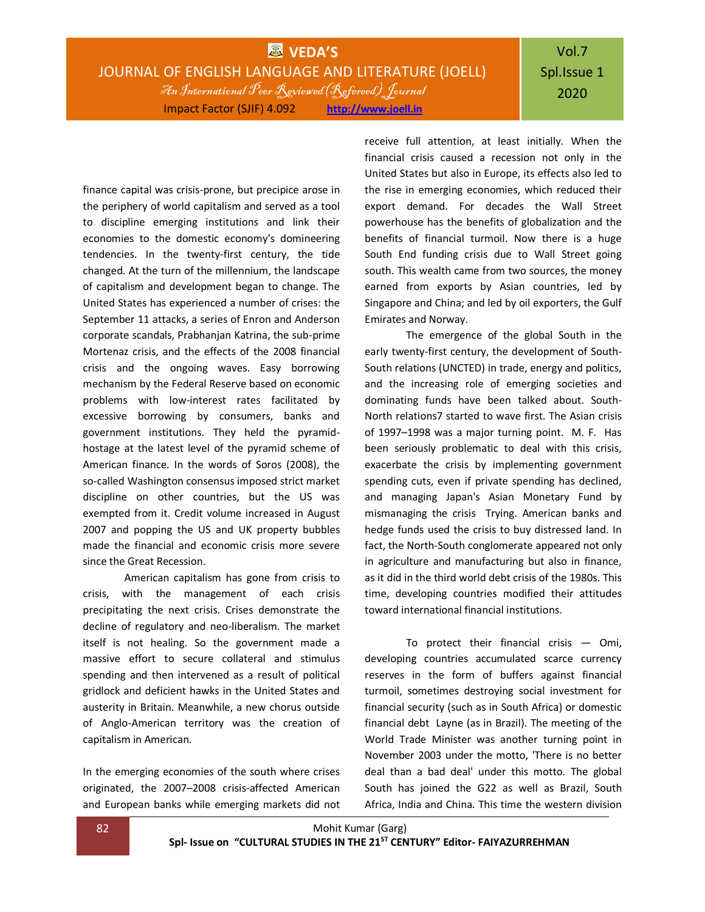## **WEDA'S** JOURNAL OF ENGLISH LANGUAGE AND LITERATURE (JOELL) An International Peer Reviewed(Refereed) Journal Impact Factor (SJIF) 4.092 **[http://www.joell.in](http://www.joell.in/)**

# Vol.7 Spl.Issue 1 2020

finance capital was crisis-prone, but precipice arose in the periphery of world capitalism and served as a tool to discipline emerging institutions and link their economies to the domestic economy's domineering tendencies. In the twenty-first century, the tide changed. At the turn of the millennium, the landscape of capitalism and development began to change. The United States has experienced a number of crises: the September 11 attacks, a series of Enron and Anderson corporate scandals, Prabhanjan Katrina, the sub-prime Mortenaz crisis, and the effects of the 2008 financial crisis and the ongoing waves. Easy borrowing mechanism by the Federal Reserve based on economic problems with low-interest rates facilitated by excessive borrowing by consumers, banks and government institutions. They held the pyramidhostage at the latest level of the pyramid scheme of American finance. In the words of Soros (2008), the so-called Washington consensus imposed strict market discipline on other countries, but the US was exempted from it. Credit volume increased in August 2007 and popping the US and UK property bubbles made the financial and economic crisis more severe since the Great Recession.

American capitalism has gone from crisis to crisis, with the management of each crisis precipitating the next crisis. Crises demonstrate the decline of regulatory and neo-liberalism. The market itself is not healing. So the government made a massive effort to secure collateral and stimulus spending and then intervened as a result of political gridlock and deficient hawks in the United States and austerity in Britain. Meanwhile, a new chorus outside of Anglo-American territory was the creation of capitalism in American.

In the emerging economies of the south where crises originated, the 2007–2008 crisis-affected American and European banks while emerging markets did not receive full attention, at least initially. When the financial crisis caused a recession not only in the United States but also in Europe, its effects also led to the rise in emerging economies, which reduced their export demand. For decades the Wall Street powerhouse has the benefits of globalization and the benefits of financial turmoil. Now there is a huge South End funding crisis due to Wall Street going south. This wealth came from two sources, the money earned from exports by Asian countries, led by Singapore and China; and led by oil exporters, the Gulf Emirates and Norway.

The emergence of the global South in the early twenty-first century, the development of South-South relations (UNCTED) in trade, energy and politics, and the increasing role of emerging societies and dominating funds have been talked about. South-North relations7 started to wave first. The Asian crisis of 1997–1998 was a major turning point. M. F. Has been seriously problematic to deal with this crisis, exacerbate the crisis by implementing government spending cuts, even if private spending has declined, and managing Japan's Asian Monetary Fund by mismanaging the crisis Trying. American banks and hedge funds used the crisis to buy distressed land. In fact, the North-South conglomerate appeared not only in agriculture and manufacturing but also in finance, as it did in the third world debt crisis of the 1980s. This time, developing countries modified their attitudes toward international financial institutions.

To protect their financial crisis  $-$  Omi, developing countries accumulated scarce currency reserves in the form of buffers against financial turmoil, sometimes destroying social investment for financial security (such as in South Africa) or domestic financial debt Layne (as in Brazil). The meeting of the World Trade Minister was another turning point in November 2003 under the motto, 'There is no better deal than a bad deal' under this motto. The global South has joined the G22 as well as Brazil, South Africa, India and China. This time the western division